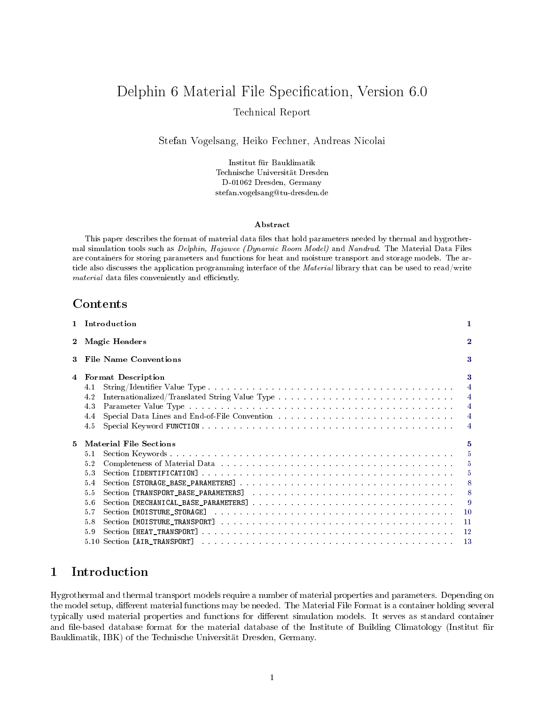# Delphin 6 Material File Specification, Version 6.0 Technical Report

Stefan Vogelsang, Heiko Fechner, Andreas Nicolai

Institut für Bauklimatik Technische Universität Dresden D-01062 Dresden, Germany stefan.vogelsang@tu-dresden.de

#### Abstract

This paper describes the format of material data files that hold parameters needed by thermal and hygrothermal simulation tools such as Delphin, Hajawee (Dynamic Room Model) and Nandrad. The Material Data Files are containers for storing parameters and functions for heat and moisture transport and storage models. The article also discusses the application programming interface of the Material library that can be used to read/write material data files conveniently and efficiently.

## Contents

| $\mathbf{1}$   | Introduction                                                                                                                                            | 1                                                                         |
|----------------|---------------------------------------------------------------------------------------------------------------------------------------------------------|---------------------------------------------------------------------------|
| $\bf{2}$       | <b>Magic Headers</b>                                                                                                                                    | $\bf{2}$                                                                  |
| 3              | <b>File Name Conventions</b>                                                                                                                            | 3                                                                         |
| $\overline{4}$ | <b>Format Description</b><br>4.1<br>4.2<br>4.3<br>4.4<br>4.5                                                                                            | 3<br>$\overline{4}$<br>$\overline{4}$<br>$\overline{4}$<br>$\overline{4}$ |
| 5.             | <b>Material File Sections</b>                                                                                                                           | 5                                                                         |
|                | 5.1<br>Completeness of Material Data responses responses responses responses responses to the S<br>5.2<br>5.3<br>5.4<br>5.5<br>5.6<br>5.7<br>5.8<br>5.9 | $\overline{5}$<br>$-5$<br>$-8$<br>$-8$<br>$\overline{9}$<br>12<br>13      |

## <span id="page-0-0"></span>1 Introduction

Hygrothermal and thermal transport models require a number of material properties and parameters. Depending on the model setup, different material functions may be needed. The Material File Format is a container holding several typically used material properties and functions for different simulation models. It serves as standard container and file-based database format for the material database of the Institute of Building Climatology (Institut für Bauklimatik, IBK) of the Technische Universität Dresden, Germany.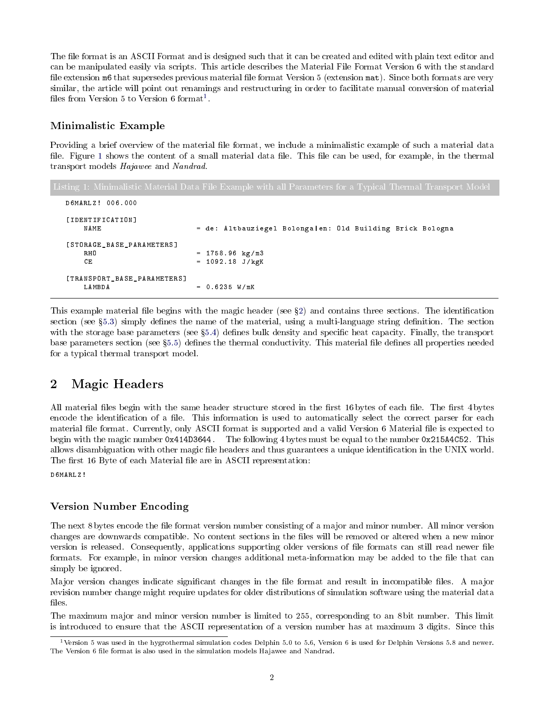The file format is an ASCII Format and is designed such that it can be created and edited with plain text editor and can be manipulated easily via scripts. This article describes the Material File Format Version 6 with the standard file extension m6 that supersedes previous material file format Version 5 (extension mat). Since both formats are very similar, the article will point out renamings and restructuring in order to facilitate manual conversion of material files from Version 5 to Version 6 format<sup>[1](#page-1-1)</sup>.

## Minimalistic Example

Providing a brief overview of the material file format, we include a minimalistic example of such a material data file. Figure [1](#page-1-2) shows the content of a small material data file. This file can be used, for example, in the thermal transport models Hajawee and Nandrad.

```
D6MARLZ ! 006.000
[ IDENTIFICATION ]
                          = de: Altbauziegel Bolonga | en: Old Building Brick Bologna
[ STORAGE_BASE_PARAMETERS ]
   RHO = 1758.96 kg/m3
   CE = 1092.18 \text{ J/kgK}[ TRANSPORT_BASE_PARAMETERS ]
                          = 0.6235 W/mK
```
This example material file begins with the magic header (see  $\S$ [2\)](#page-1-0) and contains three sections. The identification section (see  $\S5.3$ ) simply defines the name of the material, using a multi-language string definition. The section with the storage base parameters (see §[5.4\)](#page-7-0) defines bulk density and specific heat capacity. Finally, the transport base parameters section (see §[5.5\)](#page-7-1) defines the thermal conductivity. This material file defines all properties needed for a typical thermal transport model.

## <span id="page-1-0"></span>2 Magic Headers

All material files begin with the same header structure stored in the first 16 bytes of each file. The first 4 bytes encode the identification of a file. This information is used to automatically select the correct parser for each material file format. Currently, only ASCII format is supported and a valid Version 6 Material file is expected to begin with the magic number 0x414D3644. The following 4 bytes must be equal to the number 0x215A4C52. This allows disambiguation with other magic file headers and thus guarantees a unique identification in the UNIX world. The first 16 Byte of each Material file are in ASCII representation:

D6MARLZ !

## Version Number Encoding

The next 8 bytes encode the file format version number consisting of a major and minor number. All minor version changes are downwards compatible. No content sections in the files will be removed or altered when a new minor version is released. Consequently, applications supporting older versions of file formats can still read newer file formats. For example, in minor version changes additional meta-information may be added to the file that can simply be ignored.

Major version changes indicate significant changes in the file format and result in incompatible files. A major revision number change might require updates for older distributions of simulation software using the material data files.

The maximum major and minor version number is limited to 255, corresponding to an 8 bit number. This limit is introduced to ensure that the ASCII representation of a version number has at maximum 3 digits. Since this

<span id="page-1-1"></span><sup>&</sup>lt;sup>1</sup>Version 5 was used in the hygrothermal simulation codes Delphin 5.0 to 5.6, Version 6 is used for Delphin Versions 5.8 and newer. The Version 6 file format is also used in the simulation models Hajawee and Nandrad.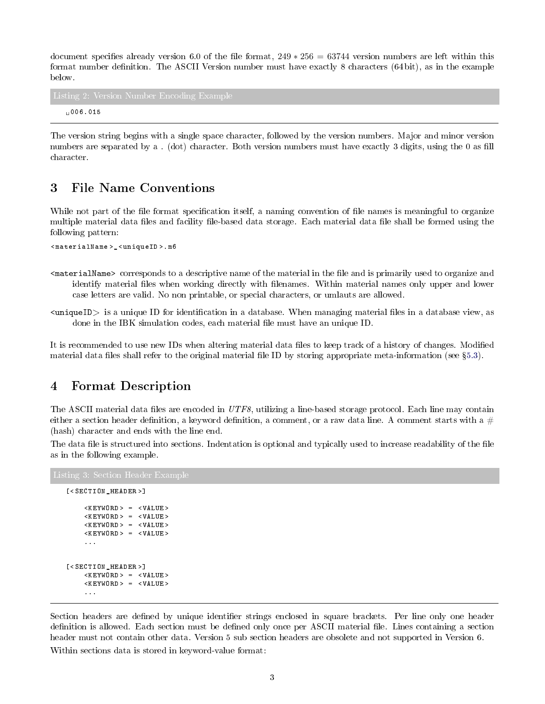document specifies already version 6.0 of the file format,  $249 * 256 = 63744$  version numbers are left within this format number definition. The ASCII Version number must have exactly 8 characters (64 bit), as in the example below.

006.015

The version string begins with a single space character, followed by the version numbers. Major and minor version numbers are separated by a . (dot) character. Both version numbers must have exactly 3 digits, using the 0 as fill character.

## <span id="page-2-0"></span>3 File Name Conventions

While not part of the file format specification itself, a naming convention of file names is meaningful to organize multiple material data files and facility file-based data storage. Each material data file shall be formed using the following pattern:

< materialName >\_ < uniqueID >. m6

- <materialName> corresponds to a descriptive name of the material in the file and is primarily used to organize and identify material files when working directly with filenames. Within material names only upper and lower case letters are valid. No non printable, or special characters, or umlauts are allowed.
- $\langle$ uniqueID $\rangle$  is a unique ID for identification in a database. When managing material files in a database view, as done in the IBK simulation codes, each material file must have an unique ID.

It is recommended to use new IDs when altering material data files to keep track of a history of changes. Modified material data files shall refer to the original material file ID by storing appropriate meta-information (see §[5.3\)](#page-4-3).

## <span id="page-2-1"></span>4 Format Description

The ASCII material data files are encoded in UTF8, utilizing a line-based storage protocol. Each line may contain either a section header definition, a keyword definition, a comment, or a raw data line. A comment starts with a  $#$ (hash) character and ends with the line end.

The data file is structured into sections. Indentation is optional and typically used to increase readability of the file as in the following example.

```
[< SECTION_HEADER >]
     \langleKEYWORD > = \langleVALUE >
     < KEYWORD > = < VALUE >
     < KEYWORD > = < VALUE >
     \langle KEYWORD > = \langle VALUE >
     ...
[< SECTION_HEADER >]
     < KEYWORD > = < VALUE >
     < KEYWORD > = < VALUE >
     ...
```
Section headers are defined by unique identifier strings enclosed in square brackets. Per line only one header definition is allowed. Each section must be defined only once per ASCII material file. Lines containing a section header must not contain other data. Version 5 sub section headers are obsolete and not supported in Version 6. Within sections data is stored in keyword-value format: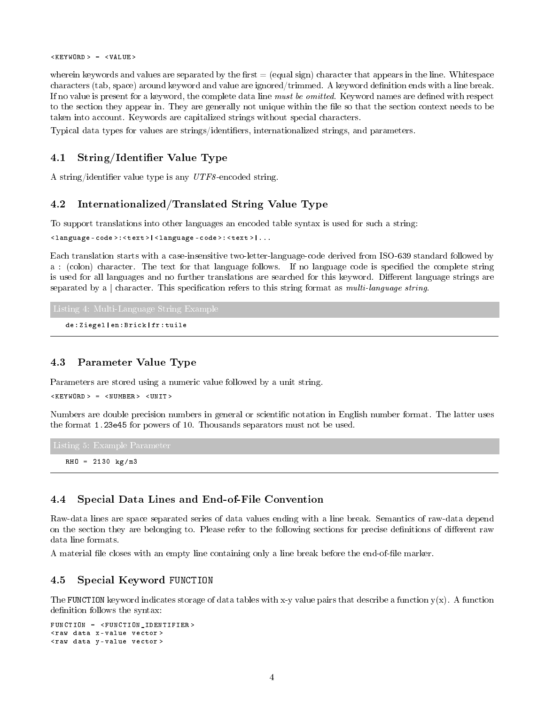$\langle$ KEYWORD > =  $\langle$ VALUE >

wherein keywords and values are separated by the first  $=$  (equal sign) character that appears in the line. Whitespace characters (tab, space) around keyword and value are ignored/trimmed. A keyword definition ends with a line break. If no value is present for a keyword, the complete data line must be omitted. Keyword names are defined with respect to the section they appear in. They are generally not unique within the file so that the section context needs to be taken into account. Keywords are capitalized strings without special characters.

Typical data types for values are strings/identifiers, internationalized strings, and parameters.

## <span id="page-3-0"></span>4.1 String/Identifier Value Type

A string/identifier value type is any  $UTF8$ -encoded string.

## <span id="page-3-1"></span>4.2 Internationalized/Translated String Value Type

To support translations into other languages an encoded table syntax is used for such a string:

< language - code >: < text >| < language - code >: < text >|...

Each translation starts with a case-insensitive two-letter-language-code derived from ISO-639 standard followed by a : (colon) character. The text for that language follows. If no language code is specified the complete string is used for all languages and no further translations are searched for this keyword. Different language strings are separated by a | character. This specification refers to this string format as multi-language string.

```
de : Ziegel | en : Brick | fr : tuile
```
## <span id="page-3-2"></span>4.3 Parameter Value Type

Parameters are stored using a numeric value followed by a unit string.

 $\langle$ KEYWORD > =  $\langle$ NUMBER >  $\langle$ UNIT >

Numbers are double precision numbers in general or scientific notation in English number format. The latter uses the format 1.23e45 for powers of 10. Thousands separators must not be used.

 $RHO = 2130 kg/m3$ 

### <span id="page-3-3"></span>4.4 Special Data Lines and End-of-File Convention

Raw-data lines are space separated series of data values ending with a line break. Semantics of raw-data depend on the section they are belonging to. Please refer to the following sections for precise denitions of dierent raw data line formats.

A material file closes with an empty line containing only a line break before the end-of-file marker.

### <span id="page-3-4"></span>4.5 Special Keyword FUNCTION

The FUNCTION keyword indicates storage of data tables with x-y value pairs that describe a function  $y(x)$ . A function definition follows the syntax:

```
FUNCTION = < FUNCTION_IDENTIFIER >
< raw data x - value vector >
< raw data y - value vector >
```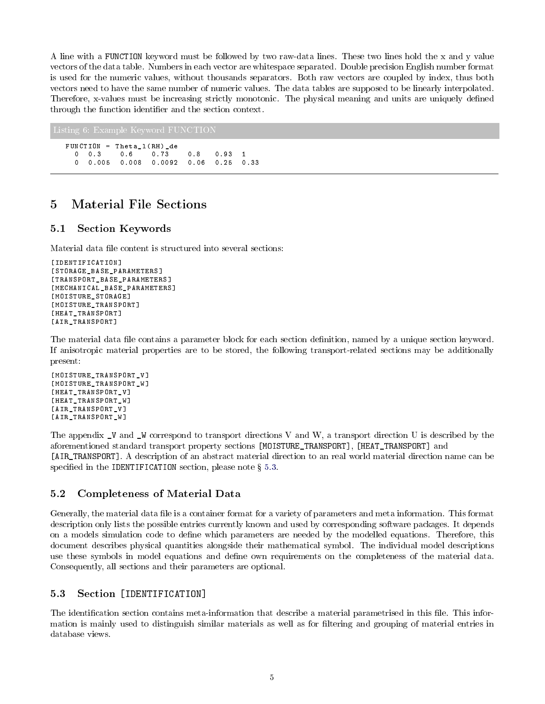A line with a FUNCTION keyword must be followed by two raw-data lines. These two lines hold the x and y value vectors of the data table. Numbers in each vector are whitespace separated. Double precision English number format is used for the numeric values, without thousands separators. Both raw vectors are coupled by index, thus both vectors need to have the same number of numeric values. The data tables are supposed to be linearly interpolated. Therefore, x-values must be increasing strictly monotonic. The physical meaning and units are uniquely defined through the function identifier and the section context.

```
FUNCTION = Theta_l ( RH ) _de
 0 0.3 0.6 0.73 0.8 0.93 1
 0 0.005 0.008 0.0092 0.06 0.25 0.33
```
## <span id="page-4-0"></span>5 Material File Sections

## <span id="page-4-1"></span>5.1 Section Keywords

Material data file content is structured into several sections:

```
[IDENTIFICATION]
[ STORAGE_BASE_PARAMETERS ]
[ TRANSPORT_BASE_PARAMETERS ]
[ MECHANICAL_BASE_PARAMETERS ]
[ MOISTURE_STORAGE ]
[ MOISTURE_TRANSPORT ]
[ HEAT_TRANSPORT ]
[ AIR_TRANSPORT ]
```
The material data file contains a parameter block for each section definition, named by a unique section keyword. If anisotropic material properties are to be stored, the following transport-related sections may be additionally present:

```
[ MOISTURE_TRANSPORT_V ]
[ MOISTURE_TRANSPORT_W ]
[ HEAT_TRANSPORT_V ]
[ HEAT_TRANSPORT_W ]
[ AIR_TRANSPORT_V ]
[ AIR_TRANSPORT_W ]
```
The appendix \_V and \_W correspond to transport directions V and W, a transport direction U is described by the aforementioned standard transport property sections [MOISTURE\_TRANSPORT], [HEAT\_TRANSPORT] and [AIR\_TRANSPORT]. A description of an abstract material direction to an real world material direction name can be specified in the IDENTIFICATION section, please note  $\S$  [5.3.](#page-4-3)

## <span id="page-4-2"></span>5.2 Completeness of Material Data

Generally, the material data file is a container format for a variety of parameters and meta information. This format description only lists the possible entries currently known and used by corresponding software packages. It depends on a models simulation code to define which parameters are needed by the modelled equations. Therefore, this document describes physical quantities alongside their mathematical symbol. The individual model descriptions use these symbols in model equations and dene own requirements on the completeness of the material data. Consequently, all sections and their parameters are optional.

## <span id="page-4-3"></span>5.3 Section [IDENTIFICATION]

The identification section contains meta-information that describe a material parametrised in this file. This information is mainly used to distinguish similar materials as well as for filtering and grouping of material entries in database views.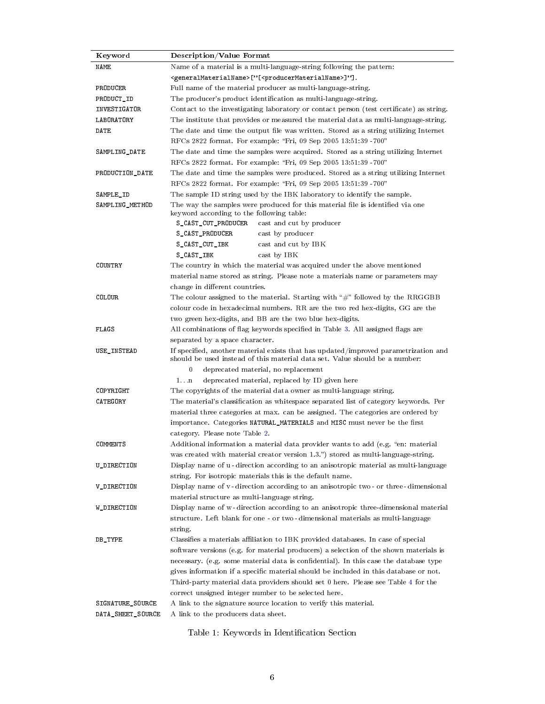| Keyword           | <b>Description/Value Format</b>                                                                                                                                      |  |  |  |  |
|-------------------|----------------------------------------------------------------------------------------------------------------------------------------------------------------------|--|--|--|--|
| NAME              | Name of a material is a multi-language-string following the pattern:                                                                                                 |  |  |  |  |
|                   | <generalmaterialname>["[<producermaterialname>]"].</producermaterialname></generalmaterialname>                                                                      |  |  |  |  |
| PRODUCER          | Full name of the material producer as multi-language-string.                                                                                                         |  |  |  |  |
| PRODUCT_ID        | The producer's product identification as multi-language-string.                                                                                                      |  |  |  |  |
| INVESTIGATOR      | Contact to the investigating laboratory or contact person (test certificate) as string.                                                                              |  |  |  |  |
| LABORATORY        | The institute that provides or measured the material data as multi-language-string.                                                                                  |  |  |  |  |
| DATE              | The date and time the output file was written. Stored as a string utilizing Internet                                                                                 |  |  |  |  |
|                   | RFCs 2822 format. For example: "Fri, 09 Sep 2005 13:51:39 -700"                                                                                                      |  |  |  |  |
| SAMPLING_DATE     | The date and time the samples were acquired. Stored as a string utilizing Internet                                                                                   |  |  |  |  |
|                   | RFCs 2822 format. For example: "Fri, 09 Sep 2005 13:51:39 -700"                                                                                                      |  |  |  |  |
| PRODUCTION_DATE   | The date and time the samples were produced. Stored as a string utilizing Internet                                                                                   |  |  |  |  |
|                   | RFCs 2822 format. For example: "Fri, 09 Sep 2005 13:51:39 -700"                                                                                                      |  |  |  |  |
| SAMPLE_ID         | The sample ID string used by the IBK laboratory to identify the sample.                                                                                              |  |  |  |  |
| SAMPLING_METHOD   | The way the samples were produced for this material file is identified via one<br>keyword according to the following table:                                          |  |  |  |  |
|                   | S_CAST_CUT_PRODUCER<br>cast and cut by producer                                                                                                                      |  |  |  |  |
|                   | S_CAST_PRODUCER<br>cast by producer                                                                                                                                  |  |  |  |  |
|                   | cast and cut by IBK<br>S_CAST_CUT_IBK                                                                                                                                |  |  |  |  |
|                   | S_CAST_IBK<br>cast by IBK                                                                                                                                            |  |  |  |  |
| COUNTRY           | The country in which the material was acquired under the above mentioned                                                                                             |  |  |  |  |
|                   | material name stored as string. Please note a materials name or parameters may                                                                                       |  |  |  |  |
|                   | change in different countries.                                                                                                                                       |  |  |  |  |
| COLOUR            | The colour assigned to the material. Starting with " $\#$ " followed by the RRGGBB                                                                                   |  |  |  |  |
|                   | colour code in hexadecimal numbers. RR are the two red hex-digits, GG are the                                                                                        |  |  |  |  |
|                   | two green hex-digits, and BB are the two blue hex-digits.                                                                                                            |  |  |  |  |
| FLAGS             | All combinations of flag keywords specified in Table 3. All assigned flags are                                                                                       |  |  |  |  |
|                   | separated by a space character.                                                                                                                                      |  |  |  |  |
| USE_INSTEAD       | If specified, another material exists that has updated/improved parametrization and<br>should be used instead of this material data set. Value should be a number:   |  |  |  |  |
|                   | 0<br>deprecated material, no replacement                                                                                                                             |  |  |  |  |
|                   | $1 \ldots n$<br>deprecated material, replaced by ID given here                                                                                                       |  |  |  |  |
| COPYRIGHT         | The copyrights of the material data owner as multi-language string.                                                                                                  |  |  |  |  |
| CATEGORY          | The material's classification as whitespace separated list of category keywords. Per                                                                                 |  |  |  |  |
|                   | material three categories at max. can be assigned. The categories are ordered by                                                                                     |  |  |  |  |
|                   | importance. Categories NATURAL_MATERIALS and MISC must never be the first                                                                                            |  |  |  |  |
|                   | category. Please note Table 2.                                                                                                                                       |  |  |  |  |
| COMMENTS          | Additional information a material data provider wants to add (e.g. "en: material                                                                                     |  |  |  |  |
|                   | was created with material creator version 1.3.") stored as multi-language-string.                                                                                    |  |  |  |  |
| U_DIRECTION       | Display name of u-direction according to an anisotropic material as multi-language                                                                                   |  |  |  |  |
|                   | string. For isotropic materials this is the default name.                                                                                                            |  |  |  |  |
| V_DIRECTION       | Display name of v - direction according to an anisotropic two- or three-dimensional                                                                                  |  |  |  |  |
|                   | material structure as multi-language string.                                                                                                                         |  |  |  |  |
| W_DIRECTION       | Display name of w-direction according to an anisotropic three-dimensional material<br>structure. Left blank for one - or two-dimensional materials as multi-language |  |  |  |  |
|                   | string.                                                                                                                                                              |  |  |  |  |
| DB_TYPE           | Classifies a materials affiliation to IBK provided databases. In case of special                                                                                     |  |  |  |  |
|                   | software versions (e.g. for material producers) a selection of the shown materials is                                                                                |  |  |  |  |
|                   | necessary. (e.g. some material data is confidential). In this case the database type                                                                                 |  |  |  |  |
|                   | gives information if a specific material should be included in this database or not.                                                                                 |  |  |  |  |
|                   | Third-party material data providers should set 0 here. Please see Table 4 for the                                                                                    |  |  |  |  |
|                   | correct unsigned integer number to be selected here.                                                                                                                 |  |  |  |  |
| SIGNATURE_SOURCE  | A link to the signature source location to verify this material.                                                                                                     |  |  |  |  |
| DATA_SHEET_SOURCE | A link to the producers data sheet.                                                                                                                                  |  |  |  |  |

Table 1: Keywords in Identification Section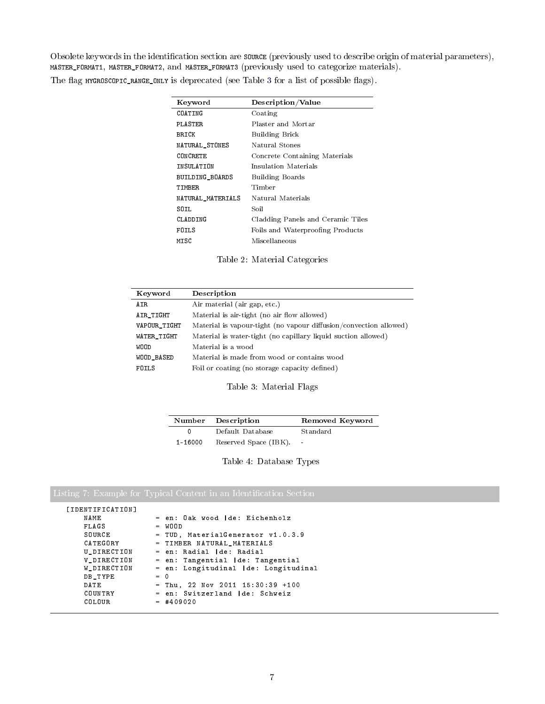Obsolete keywords in the identification section are source (previously used to describe origin of material parameters), MASTER\_FORMAT1, MASTER\_FORMAT2, and MASTER\_FORMAT3 (previously used to categorize materials).

<span id="page-6-1"></span>The flag HYGROSCOPIC\_RANGE\_ONLY is deprecated (see Table [3](#page-6-0) for a list of possible flags).

| Keyword           | Description/Value                 |
|-------------------|-----------------------------------|
| COATING           | Coating                           |
| PLASTER           | Plaster and Mortar                |
| BRICK             | Building Brick                    |
| NATURAL_STONES    | Natural Stones                    |
| CONCRETE          | Concrete Containing Materials     |
| INSULATION        | Insulation Materials              |
| BUILDING_BOARDS   | <b>Building Boards</b>            |
| TIMBER            | Timber                            |
| NATURAL_MATERIALS | Natural Materials                 |
| SOIL              | Soil                              |
| CLADDING          | Cladding Panels and Ceramic Tiles |
| FOILS             | Foils and Waterproofing Products  |
| MISC              | Miscellaneous                     |

Table 2: Material Categories

<span id="page-6-0"></span>

| Keyword      | Description                                                       |
|--------------|-------------------------------------------------------------------|
| A IR         | Air material (air gap, etc.)                                      |
| AIR_TIGHT    | Material is air-tight (no air flow allowed)                       |
| VAPOUR_TIGHT | Material is vapour-tight (no vapour diffusion/convection allowed) |
| WATER_TIGHT  | Material is water-tight (no capillary liquid suction allowed)     |
| WOOD         | Material is a wood                                                |
| WOOD_BASED   | Material is made from wood or contains wood                       |
| FOTLS        | Foil or coating (no storage capacity defined)                     |

Table 3: Material Flags

| Number      | Description           | Removed Keyword |
|-------------|-----------------------|-----------------|
|             | Default Database      | Standard        |
| $1 - 16000$ | Reserved Space (IBK). | $\sim$          |

Table 4: Database Types

<span id="page-6-2"></span>Listing 7: Example for Typical Content in an Identification Section

| <b>FIDENTIFICATION</b> |                                       |
|------------------------|---------------------------------------|
| NAME                   | = en: Oak wood de: Eichenholz         |
| FLAGS                  | $= WOOD$                              |
| SOURCE                 | = TUD, Material Generator v1.0.3.9    |
| CATEGORY               | = TIMBER NATURAL_MATERIALS            |
| U DIRECTION            | = en: Radial   de: Radial             |
| V_DIRECTION            | = en: Tangential   de: Tangential     |
| W_DIRECTION            | = en: Longitudinal   de: Longitudinal |
| DB TYPE                | $= 0$                                 |
| DATE                   | $=$ Thu, 22 Nov 2011 15:30:39 +100    |
| COUNTRY                | = en: Switzerland   de: Schweiz       |
| COLOUR                 | $= 409020$                            |
|                        |                                       |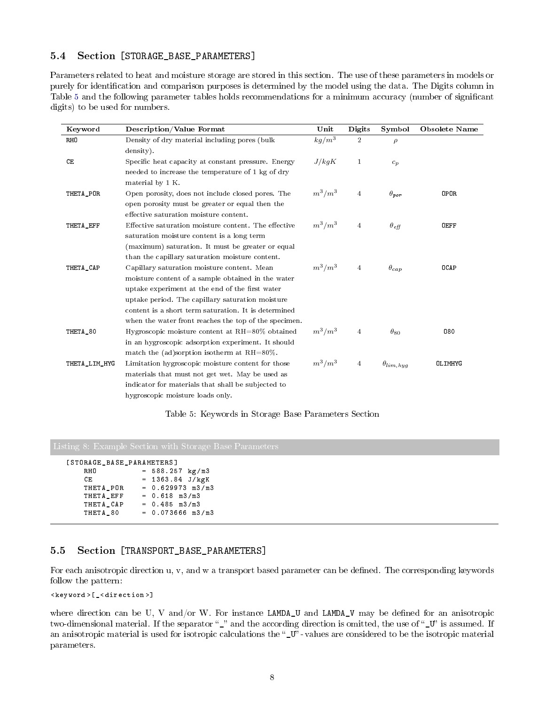### <span id="page-7-0"></span>5.4 Section [STORAGE\_BASE\_PARAMETERS]

Parameters related to heat and moisture storage are stored in this section. The use of these parameters in models or purely for identication and comparison purposes is determined by the model using the data. The Digits column in Table [5](#page-7-2) and the following parameter tables holds recommendations for a minimum accuracy (number of signicant digits) to be used for numbers.

<span id="page-7-2"></span>

| Keyword       | <b>Description/Value Format</b>                       | Unit      | Digits         | Symbol                       | <b>Obsolete Name</b> |
|---------------|-------------------------------------------------------|-----------|----------------|------------------------------|----------------------|
| <b>RHO</b>    | Density of dry material including pores (bulk         | $kg/m^3$  | $\overline{2}$ | $\rho$                       |                      |
|               | density).                                             |           |                |                              |                      |
| CE            | Specific heat capacity at constant pressure. Energy   | J/kgK     | $\mathbf{1}$   | $c_p$                        |                      |
|               | needed to increase the temperature of 1 kg of dry     |           |                |                              |                      |
|               | material by 1 K.                                      |           |                |                              |                      |
| THETA_POR     | Open porosity, does not include closed pores. The     | $m^3/m^3$ | $\overline{4}$ | $\theta_{\textit{por}}$      | <b>OPOR</b>          |
|               | open porosity must be greater or equal then the       |           |                |                              |                      |
|               | effective saturation moisture content.                |           |                |                              |                      |
| THETA_EFF     | Effective saturation moisture content. The effective  | $m^3/m^3$ | $\overline{4}$ | $\theta_{eff}$               | <b>OEFF</b>          |
|               | saturation moisture content is a long term            |           |                |                              |                      |
|               | (maximum) saturation. It must be greater or equal     |           |                |                              |                      |
|               | than the capillary saturation moisture content.       |           |                |                              |                      |
| THETA_CAP     | Capillary saturation moisture content. Mean           | $m^3/m^3$ | $\overline{4}$ | $\theta_{cap}$               | <b>OCAP</b>          |
|               | moisture content of a sample obtained in the water    |           |                |                              |                      |
|               | uptake experiment at the end of the first water       |           |                |                              |                      |
|               | uptake period. The capillary saturation moisture      |           |                |                              |                      |
|               | content is a short term saturation. It is determined  |           |                |                              |                      |
|               | when the water front reaches the top of the specimen. |           |                |                              |                      |
| THETA_80      | Hygroscopic moisture content at $RH = 80\%$ obtained  | $m^3/m^3$ | $\overline{4}$ | $\theta_{80}$                | 080                  |
|               | in an hygroscopic adsorption experiment. It should    |           |                |                              |                      |
|               | match the (ad)sorption isotherm at $RH=80\%$ .        |           |                |                              |                      |
| THETA_LIM_HYG | Limitation hygroscopic moisture content for those     | $m^3/m^3$ | $\overline{4}$ | $\theta$ <sub>lim, hyg</sub> | <b>OLIMHYG</b>       |
|               | materials that must not get wet. May be used as       |           |                |                              |                      |
|               | indicator for materials that shall be subjected to    |           |                |                              |                      |
|               | hygroscopic moisture loads only.                      |           |                |                              |                      |

#### Table 5: Keywords in Storage Base Parameters Section

```
[ STORAGE_BASE_PARAMETERS ]
     RHO = 588.257 \text{ kg/m3}<br>CE = 1363.84 \text{ J/kgK}CE = 1363.84 J/kgK<br>THETA_POR = 0.629973 m3/m
                         = 0.629973 m3/m3
     THETA_EFF = 0.618 m3/m3<br>THETA_CAP = 0.485 m3/m3
                         = 0.485 \text{ m3/m3}THETA_80 = 0.073666 m3 / m3
```
## <span id="page-7-1"></span>5.5 Section [TRANSPORT\_BASE\_PARAMETERS]

For each anisotropic direction u, v, and w a transport based parameter can be defined. The corresponding keywords follow the pattern:

```
< keyword >[_ < direction >]
```
where direction can be U, V and/or W. For instance  $\text{LAMDA_U}$  and  $\text{LAMDA_V}$  may be defined for an anisotropic two-dimensional material. If the separator "\_" and the according direction is omitted, the use of "\_U" is assumed. If an anisotropic material is used for isotropic calculations the " $U$ " - values are considered to be the isotropic material parameters.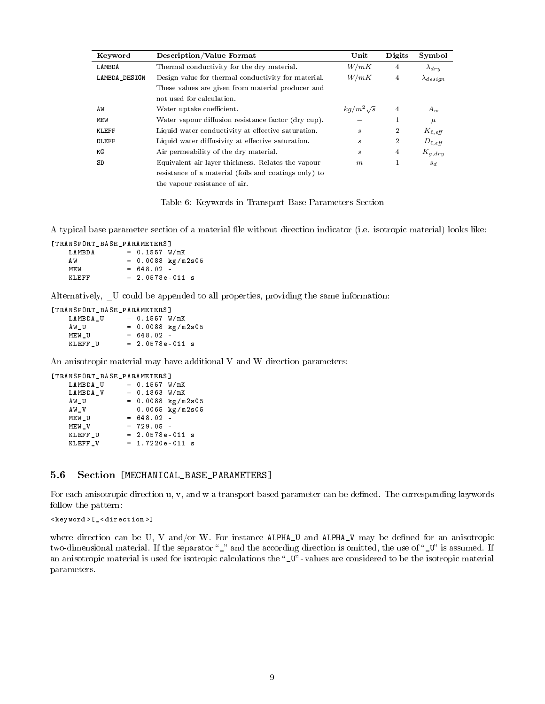| Keyword       | <b>Description/Value Format</b>                       | Unit                        | Digits         | Symbol             |
|---------------|-------------------------------------------------------|-----------------------------|----------------|--------------------|
| LAMBDA        | Thermal conductivity for the dry material.            | W/mK                        | 4              | $\lambda_{dru}$    |
| LAMBDA_DESIGN | Design value for thermal conductivity for material.   | W/mK                        | $\overline{4}$ | $\lambda_{design}$ |
|               | These values are given from material producer and     |                             |                |                    |
|               | not used for calculation.                             |                             |                |                    |
| AW            | Water uptake coefficient.                             | $kg/m^2\sqrt{s}$            | $\overline{4}$ | $A_w$              |
| MEW           | Water vapour diffusion resistance factor (dry cup).   |                             | 1              | $\mu$              |
| KLEFF         | Liquid water conductivity at effective saturation.    | $\mathcal{S}_{\mathcal{S}}$ | $\overline{2}$ | $K_{\ell, eff}$    |
| DLEFF         | Liquid water diffusivity at effective saturation.     | $\boldsymbol{s}$            | $\overline{2}$ | $D_{\ell, eff}$    |
| ΚG            | Air permeability of the dry material.                 | S                           | $\overline{4}$ | $K_{g, dry}$       |
| SD            | Equivalent air layer thickness. Relates the vapour    | m                           | 1              | $s_d$              |
|               | resistance of a material (foils and coatings only) to |                             |                |                    |
|               | the vapour resistance of air.                         |                             |                |                    |

Table 6: Keywords in Transport Base Parameters Section

A typical base parameter section of a material file without direction indicator (i.e. isotropic material) looks like:

```
[TRANSPORT_BASE_PARAMETERS]<br>LAMBDA = 0.1557 W
                = 0.1557 W/mK
```

| ΑW    | $= 0.0088 \text{ kg/m}2s05$ |  |
|-------|-----------------------------|--|
| M F.W | $= 648.02 -$                |  |
| KLEFF | $= 2.0578e-011$ s           |  |

Alternatively, \_U could be appended to all properties, providing the same information:

| <b><i>TRANSPORT BASE PARAMETERST</i></b> |                   |                             |
|------------------------------------------|-------------------|-----------------------------|
| LAMBDA U                                 | $= 0.1557 W/mK$   |                             |
| AW U                                     |                   | $= 0.0088 \text{ kg/m}2s05$ |
| MEW U                                    | $= 648.02 -$      |                             |
| KLEFF U                                  | $= 2.0578e-011$ s |                             |

An anisotropic material may have additional V and W direction parameters:

[ TRANSPORT\_BASE\_PARAMETERS ]

| LAMBDA U |  |              | $= 0.1557 W/mK$               |  |
|----------|--|--------------|-------------------------------|--|
| LAMBDA V |  |              | $= 0.1863 W/mK$               |  |
| AW_U     |  |              | $= 0.0088 \text{ kg/m}2s05$   |  |
| AW_V     |  |              | $= 0.0065 \ \text{kg/m}$ 2s05 |  |
| MEW U    |  | $= 648.02 -$ |                               |  |
| MEW V    |  | $= 729.05 -$ |                               |  |
| KLEFF_U  |  |              | $= 2.0578e-011$ s             |  |
| KLEFF V  |  |              | $= 1.7220e-011$ s             |  |
|          |  |              |                               |  |

## <span id="page-8-0"></span>5.6 Section [MECHANICAL\_BASE\_PARAMETERS]

For each anisotropic direction u, v, and w a transport based parameter can be defined. The corresponding keywords follow the pattern:

```
< keyword >[_ < direction >]
```
where direction can be U, V and/or W. For instance ALPHA\_U and ALPHA\_V may be defined for an anisotropic two-dimensional material. If the separator "\_" and the according direction is omitted, the use of "\_U" is assumed. If an anisotropic material is used for isotropic calculations the " $U$ " - values are considered to be the isotropic material parameters.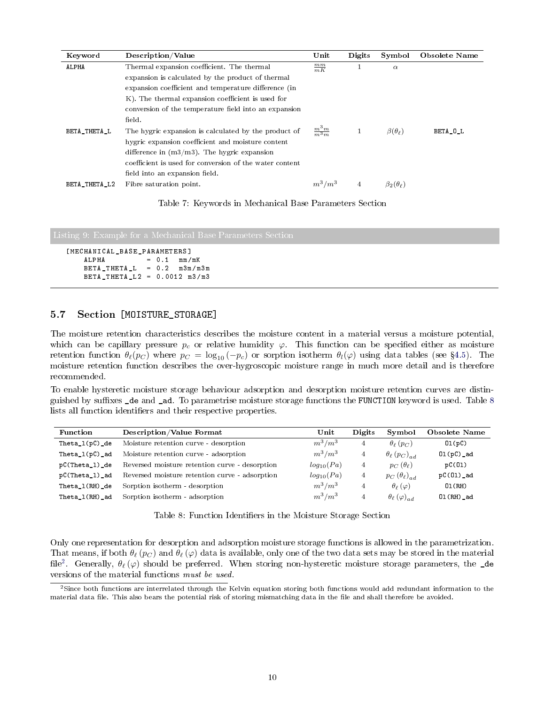| Keyword       | Description/Value                                       | Unit                | Digits         | Symbol                 | Obsolete Name |
|---------------|---------------------------------------------------------|---------------------|----------------|------------------------|---------------|
| <b>ALPHA</b>  | Thermal expansion coefficient. The thermal              | $\frac{mm}{mK}$     |                | $\alpha$               |               |
|               | expansion is calculated by the product of thermal       |                     |                |                        |               |
|               | expansion coefficient and temperature difference (in    |                     |                |                        |               |
|               | K). The thermal expansion coefficient is used for       |                     |                |                        |               |
|               | conversion of the temperature field into an expansion   |                     |                |                        |               |
|               | field.                                                  |                     |                |                        |               |
| BETA_THETA_L  | The hygric expansion is calculated by the product of    | $\frac{m^3m}{m^3m}$ |                | $\beta(\theta_{\ell})$ | BETA_O_L      |
|               | hygric expansion coefficient and moisture content       |                     |                |                        |               |
|               | difference in $(m3/m3)$ . The hygric expansion          |                     |                |                        |               |
|               | coefficient is used for conversion of the water content |                     |                |                        |               |
|               | field into an expansion field.                          |                     |                |                        |               |
| BETA_THETA_L2 | Fibre saturation point.                                 | $m^3/m^3$           | $\overline{4}$ | $\beta_2(\theta_\ell)$ |               |

|  |  |  |  |  | Table 7: Keywords in Mechanical Base Parameters Section |  |
|--|--|--|--|--|---------------------------------------------------------|--|
|--|--|--|--|--|---------------------------------------------------------|--|

```
[ MECHANICAL_BASE_PARAMETERS ]
    ALPHA = 0.1 mm/mK
    BETA THETA L = 0.2 m3m/m3m
   BETA_THETA_L2 = 0.0012 m3 / m3
```
### <span id="page-9-0"></span>5.7 Section [MOISTURE\_STORAGE]

The moisture retention characteristics describes the moisture content in a material versus a moisture potential, which can be capillary pressure  $p_c$  or relative humidity  $\varphi$ . This function can be specified either as moisture retention function  $\theta_{\ell}(p_C)$  where  $p_C = \log_{10}(-p_C)$  or sorption isotherm  $\theta_{\ell}(\varphi)$  using data tables (see §[4.5\)](#page-3-4). The moisture retention function describes the over-hygroscopic moisture range in much more detail and is therefore recommended.

To enable hysteretic moisture storage behaviour adsorption and desorption moisture retention curves are distin-guished by suffixes \_de and \_ad. To parametrise moisture storage functions the FUNCTION keyword is used. Table [8](#page-9-1) lists all function identifiers and their respective properties.

<span id="page-9-1"></span>

| Function          | <b>Description/Value Format</b>                | Unit           | Digits | Symbol                                   | Obsolete Name |
|-------------------|------------------------------------------------|----------------|--------|------------------------------------------|---------------|
| Theta $1(pC)$ de  | Moisture retention curve - desorption          | $m^3/m^3$      |        | $\theta_{\ell}$ $(p_C)$                  | 01(pC)        |
| Theta $1(pC)$ ad  | Moisture retention curve - adsorption          | $m^3/m^3$      |        | $\theta_{\ell}$ $(p_C)_{ad}$             | $01(pC)$ _ad  |
| $pC(Theta_1)$ de  | Reversed moisture retention curve - desorption | $log_{10}(Pa)$ |        | $p_C(\theta_\ell)$                       | pC(01)        |
| pC(Theta_1)_ad    | Reversed moisture retention curve - adsorption | $log_{10}(Pa)$ |        | $p_C(\theta_\ell)_{ad}$                  | $pC(01)$ _ad  |
| $The ta_1(RH)_de$ | Sorption isotherm - desorption                 | $m^3/m^3$      |        | $\theta_{\ell}(\varphi)$                 | 01(RH)        |
| $The ta_1(RH)_ad$ | Sorption isotherm - adsorption                 | $m^3/m^3$      |        | $\theta_{\ell}\left(\varphi\right)_{ad}$ | $01(RH)$ _ad  |

Table 8: Function Identifiers in the Moisture Storage Section

Only one representation for desorption and adsorption moisture storage functions is allowed in the parametrization. That means, if both  $\theta_\ell$  ( $p_C$ ) and  $\theta_\ell$  ( $\varphi$ ) data is available, only one of the two data sets may be stored in the material file<sup>[2](#page-9-2)</sup>. Generally,  $\theta_{\ell}(\varphi)$  should be preferred. When storing non-hysteretic moisture storage parameters, the \_de versions of the material functions must be used.

<span id="page-9-2"></span><sup>&</sup>lt;sup>2</sup>Since both functions are interrelated through the Kelvin equation storing both functions would add redundant information to the material data file. This also bears the potential risk of storing mismatching data in the file and shall therefore be avoided.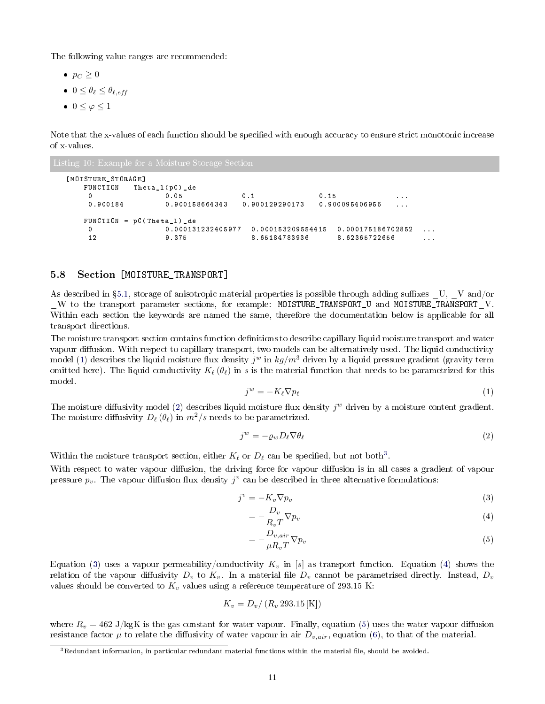The following value ranges are recommended:

- $p_C \geq 0$
- $0 \leq \theta_{\ell} \leq \theta_{\ell,eff}$
- $0 \leq \varphi \leq 1$

Note that the x-values of each function should be specified with enough accuracy to ensure strict monotonic increase of x-values.

```
[ MO IS TURE STORAGE ]
  FUNCTION = Theta_1(pC) de
   0 0.05 0.1 0.15 ...
   0.900184 \qquad 0.900158664343 \qquad 0.900129290173 \qquad 0.900095406956 \qquad \dotsFUNCTION = pC ( Theta_l ) _de
   0 0.000131232405977 0.000153209554415 0.000175186702852 ...
   12 9.375 8.65184783936 8.62365722656 ...
```
#### <span id="page-10-0"></span>5.8 Section [MOISTURE\_TRANSPORT]

As described in  $\S 5.1$ , storage of anisotropic material properties is possible through adding suffixes  $U, V$  and/or \_W to the transport parameter sections, for example: MOISTURE\_TRANSPORT\_U and MOISTURE\_TRANSPORT\_V. Within each section the keywords are named the same, therefore the documentation below is applicable for all transport directions.

The moisture transport section contains function definitions to describe capillary liquid moisture transport and water vapour diffusion. With respect to capillary transport, two models can be alternatively used. The liquid conductivity model [\(1\)](#page-10-1) describes the liquid moisture flux density  $j^w$  in  $kg/m^3$  driven by a liquid pressure gradient (gravity term omitted here). The liquid conductivity  $K_\ell(\theta_\ell)$  in s is the material function that needs to be parametrized for this model.

<span id="page-10-1"></span>
$$
j^w = -K_{\ell} \nabla p_{\ell} \tag{1}
$$

The moisture diffusivity model [\(2\)](#page-10-2) describes liquid moisture flux density  $j^w$  driven by a moisture content gradient. The moisture diffusivity  $D_\ell(\theta_\ell)$  in  $m^2/s$  needs to be parametrized.

<span id="page-10-2"></span>
$$
j^w = -\varrho_w D_\ell \nabla \theta_\ell \tag{2}
$$

Within the moisture transport section, either  $K_{\ell}$  or  $D_{\ell}$  can be specified, but not both<sup>[3](#page-10-3)</sup>.

With respect to water vapour diffusion, the driving force for vapour diffusion is in all cases a gradient of vapour pressure  $p_v$ . The vapour diffusion flux density  $j^v$  can be described in three alternative formulations:

$$
j^v = -K_v \nabla p_v \tag{3}
$$

<span id="page-10-5"></span><span id="page-10-4"></span>
$$
= -\frac{D_v}{R_v T} \nabla p_v \tag{4}
$$

<span id="page-10-6"></span>
$$
=-\frac{D_{v,air}}{\mu R_v T} \nabla p_v
$$
\n(5)

Equation [\(3\)](#page-10-4) uses a vapour permeability/conductivity  $K_v$  in [s] as transport function. Equation [\(4\)](#page-10-5) shows the relation of the vapour diffusivity  $D_v$  to  $K_v$ . In a material file  $D_v$  cannot be parametrised directly. Instead,  $D_v$ values should be converted to  $K_v$  values using a reference temperature of 293.15 K:

$$
K_v = D_v / (R_v 293.15 \text{ [K]})
$$

where  $R_v = 462 \text{ J/kgK}$  is the gas constant for water vapour. Finally, equation [\(5\)](#page-10-6) uses the water vapour diffusion resistance factor  $\mu$  to relate the diffusivity of water vapour in air  $D_{v,air}$ , equation [\(6\)](#page-11-1), to that of the material.

<span id="page-10-3"></span> $3$ Redundant information, in particular redundant material functions within the material file, should be avoided.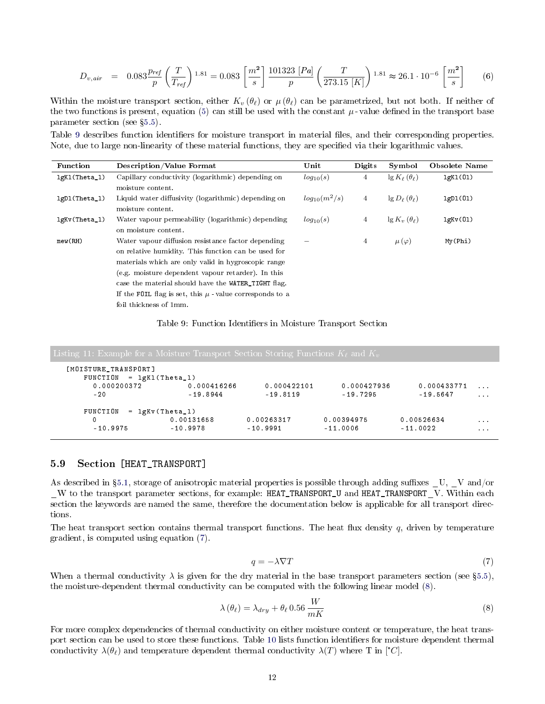<span id="page-11-1"></span>
$$
D_{v,air} = 0.083 \frac{p_{ref}}{p} \left(\frac{T}{T_{ref}}\right)^{1.81} = 0.083 \left[\frac{m^2}{s}\right] \frac{101323 \left[Pa\right]}{p} \left(\frac{T}{273.15 \left[K\right]}\right)^{1.81} \approx 26.1 \cdot 10^{-6} \left[\frac{m^2}{s}\right] \tag{6}
$$

Within the moisture transport section, either  $K_v (\theta_\ell)$  or  $\mu(\theta_\ell)$  can be parametrized, but not both. If neither of the two functions is present, equation [\(5\)](#page-10-6) can still be used with the constant  $\mu$ -value defined in the transport base parameter section (see §[5.5\)](#page-7-1).

Table [9](#page-11-2) describes function identifiers for moisture transport in material files, and their corresponding properties. Note, due to large non-linearity of these material functions, they are specified via their logarithmic values.

<span id="page-11-2"></span>

| Function        | Description/Value Format                                    | Unit              | <b>Digits</b>  | Symbol                        | Obsolete Name |
|-----------------|-------------------------------------------------------------|-------------------|----------------|-------------------------------|---------------|
| lgKl(Theta_1)   | Capillary conductivity (logarithmic) depending on           | $log_{10}(s)$     | 4              | $\lg K_{\ell}(\theta_{\ell})$ | lgK1(01)      |
|                 | moisture content.                                           |                   |                |                               |               |
| lgD1(Theta_1)   | Liquid water diffusivity (logarithmic) depending on         | $log_{10}(m^2/s)$ | 4              | $\lg D_{\ell}(\theta_{\ell})$ | 1gD1(01)      |
|                 | moisture content.                                           |                   |                |                               |               |
| $lgKv(Theta_1)$ | Water vapour permeability (logarithmic) depending           | $log_{10}(s)$     | $\overline{4}$ | $\lg K_v(\theta_\ell)$        | lgKv(01)      |
|                 | on moisture content.                                        |                   |                |                               |               |
| mew(RH)         | Water vapour diffusion resistance factor depending          |                   | $\overline{4}$ | $\mu(\varphi)$                | My(Phi)       |
|                 | on relative humidity. This function can be used for         |                   |                |                               |               |
|                 | materials which are only valid in hygroscopic range         |                   |                |                               |               |
|                 | (e.g. moisture dependent vapour retarder). In this          |                   |                |                               |               |
|                 | case the material should have the WATER_TIGHT flag.         |                   |                |                               |               |
|                 | If the FOIL flag is set, this $\mu$ -value corresponds to a |                   |                |                               |               |
|                 | foil thickness of 1mm.                                      |                   |                |                               |               |

#### Table 9: Function Identifiers in Moisture Transport Section

| [MOISTURE_TRANSPORT]<br>$FUNCTION = 1gK1(Theta_1)$ |                     |             |             |             |          |
|----------------------------------------------------|---------------------|-------------|-------------|-------------|----------|
| 0.000200372                                        | 0.000416266         | 0.000422101 | 0.000427936 | 0.000433771 |          |
| $-20$                                              | $-19.8944$          | $-19.8119$  | $-19.7295$  | $-19.5647$  | 1.111    |
| FUNCTION                                           | $= \lg Kv(Theta_1)$ |             |             |             |          |
| 0                                                  | 0.00131658          | 0.00263317  | 0.00394975  | 0.00526634  | $\cdots$ |
| $-10.9975$                                         | $-10.9978$          | $-10.9991$  | $-11.0006$  | $-11.0022$  | $\cdots$ |

### <span id="page-11-0"></span>5.9 Section [HEAT\_TRANSPORT]

As described in §[5.1,](#page-4-1) storage of anisotropic material properties is possible through adding suffixes  $\_U, \_V$  and/or  $\_W$  to the transport parameter sections, for example: HEAT\_TRANSPORT\_U and HEAT\_TRANSPORT V. Within each section the keywords are named the same, therefore the documentation below is applicable for all transport directions.

The heat transport section contains thermal transport functions. The heat flux density  $q$ , driven by temperature gradient, is computed using equation [\(7\)](#page-11-3).

<span id="page-11-3"></span>
$$
q = -\lambda \nabla T \tag{7}
$$

When a thermal conductivity  $\lambda$  is given for the dry material in the base transport parameters section (see §[5.5\)](#page-7-1), the moisture-dependent thermal conductivity can be computed with the following linear model [\(8\)](#page-11-4).

<span id="page-11-4"></span>
$$
\lambda(\theta_{\ell}) = \lambda_{dry} + \theta_{\ell} \, 0.56 \, \frac{W}{mK} \tag{8}
$$

For more complex dependencies of thermal conductivity on either moisture content or temperature, the heat trans-port section can be used to store these functions. Table [10](#page-12-1) lists function identifiers for moisture dependent thermal conductivity  $\lambda(\theta_\ell)$  and temperature dependent thermal conductivity  $\lambda(T)$  where T in [°C].